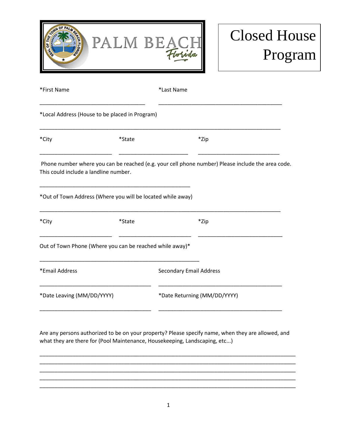

## Closed House Program

| *First Name                           |                                                             | *Last Name                     |                                                                                                   |  |  |  |
|---------------------------------------|-------------------------------------------------------------|--------------------------------|---------------------------------------------------------------------------------------------------|--|--|--|
|                                       | *Local Address (House to be placed in Program)              |                                |                                                                                                   |  |  |  |
| *City                                 | *State                                                      |                                | *Zip                                                                                              |  |  |  |
| This could include a landline number. |                                                             |                                | Phone number where you can be reached (e.g. your cell phone number) Please include the area code. |  |  |  |
|                                       | *Out of Town Address (Where you will be located while away) |                                |                                                                                                   |  |  |  |
| *City                                 | *State                                                      |                                | *Zip                                                                                              |  |  |  |
|                                       | Out of Town Phone (Where you can be reached while away)*    |                                |                                                                                                   |  |  |  |
| *Email Address                        |                                                             | <b>Secondary Email Address</b> |                                                                                                   |  |  |  |
| *Date Leaving (MM/DD/YYYY)            |                                                             |                                | *Date Returning (MM/DD/YYYY)                                                                      |  |  |  |
|                                       |                                                             |                                |                                                                                                   |  |  |  |

Are any persons authorized to be on your property? Please specify name, when they are allowed, and what they are there for (Pool Maintenance, Housekeeping, Landscaping, etc...)

\_\_\_\_\_\_\_\_\_\_\_\_\_\_\_\_\_\_\_\_\_\_\_\_\_\_\_\_\_\_\_\_\_\_\_\_\_\_\_\_\_\_\_\_\_\_\_\_\_\_\_\_\_\_\_\_\_\_\_\_\_\_\_\_\_\_\_\_\_\_\_\_\_\_\_\_\_\_\_\_\_\_\_\_\_ \_\_\_\_\_\_\_\_\_\_\_\_\_\_\_\_\_\_\_\_\_\_\_\_\_\_\_\_\_\_\_\_\_\_\_\_\_\_\_\_\_\_\_\_\_\_\_\_\_\_\_\_\_\_\_\_\_\_\_\_\_\_\_\_\_\_\_\_\_\_\_\_\_\_\_\_\_\_\_\_\_\_\_\_\_ \_\_\_\_\_\_\_\_\_\_\_\_\_\_\_\_\_\_\_\_\_\_\_\_\_\_\_\_\_\_\_\_\_\_\_\_\_\_\_\_\_\_\_\_\_\_\_\_\_\_\_\_\_\_\_\_\_\_\_\_\_\_\_\_\_\_\_\_\_\_\_\_\_\_\_\_\_\_\_\_\_\_\_\_\_ \_\_\_\_\_\_\_\_\_\_\_\_\_\_\_\_\_\_\_\_\_\_\_\_\_\_\_\_\_\_\_\_\_\_\_\_\_\_\_\_\_\_\_\_\_\_\_\_\_\_\_\_\_\_\_\_\_\_\_\_\_\_\_\_\_\_\_\_\_\_\_\_\_\_\_\_\_\_\_\_\_\_\_\_\_ \_\_\_\_\_\_\_\_\_\_\_\_\_\_\_\_\_\_\_\_\_\_\_\_\_\_\_\_\_\_\_\_\_\_\_\_\_\_\_\_\_\_\_\_\_\_\_\_\_\_\_\_\_\_\_\_\_\_\_\_\_\_\_\_\_\_\_\_\_\_\_\_\_\_\_\_\_\_\_\_\_\_\_\_\_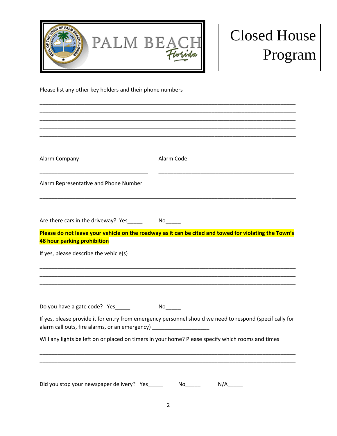

## Closed House Program

Please list any other key holders and their phone numbers

| Alarm Company                                                                    | Alarm Code                                                                                               |
|----------------------------------------------------------------------------------|----------------------------------------------------------------------------------------------------------|
| Alarm Representative and Phone Number                                            |                                                                                                          |
| Are there cars in the driveway? Yes                                              |                                                                                                          |
| 48 hour parking prohibition                                                      | Please do not leave your vehicle on the roadway as it can be cited and towed for violating the Town's    |
| If yes, please describe the vehicle(s)                                           |                                                                                                          |
| Do you have a gate code? Yes                                                     |                                                                                                          |
| alarm call outs, fire alarms, or an emergency) _________________________________ | If yes, please provide it for entry from emergency personnel should we need to respond (specifically for |
|                                                                                  | Will any lights be left on or placed on timers in your home? Please specify which rooms and times        |
|                                                                                  |                                                                                                          |
| Did you stop your newspaper delivery? Yes_                                       | N/A<br>No                                                                                                |